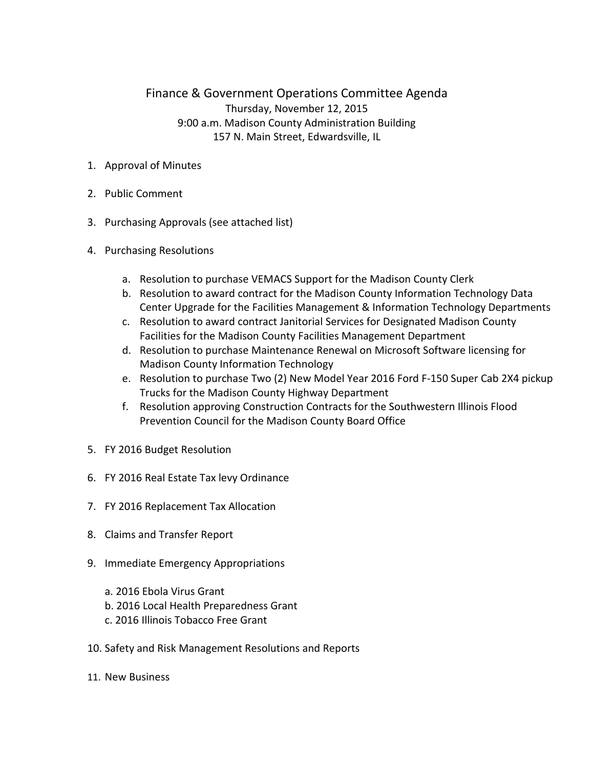## Finance & Government Operations Committee Agenda Thursday, November 12, 2015 9:00 a.m. Madison County Administration Building 157 N. Main Street, Edwardsville, IL

- 1. Approval of Minutes
- 2. Public Comment
- 3. Purchasing Approvals (see attached list)
- 4. Purchasing Resolutions
	- a. Resolution to purchase VEMACS Support for the Madison County Clerk
	- b. Resolution to award contract for the Madison County Information Technology Data Center Upgrade for the Facilities Management & Information Technology Departments
	- c. Resolution to award contract Janitorial Services for Designated Madison County Facilities for the Madison County Facilities Management Department
	- d. Resolution to purchase Maintenance Renewal on Microsoft Software licensing for Madison County Information Technology
	- e. Resolution to purchase Two (2) New Model Year 2016 Ford F-150 Super Cab 2X4 pickup Trucks for the Madison County Highway Department
	- f. Resolution approving Construction Contracts for the Southwestern Illinois Flood Prevention Council for the Madison County Board Office
- 5. FY 2016 Budget Resolution
- 6. FY 2016 Real Estate Tax levy Ordinance
- 7. FY 2016 Replacement Tax Allocation
- 8. Claims and Transfer Report
- 9. Immediate Emergency Appropriations
	- a. 2016 Ebola Virus Grant
	- b. 2016 Local Health Preparedness Grant
	- c. 2016 Illinois Tobacco Free Grant
- 10. Safety and Risk Management Resolutions and Reports
- 11. New Business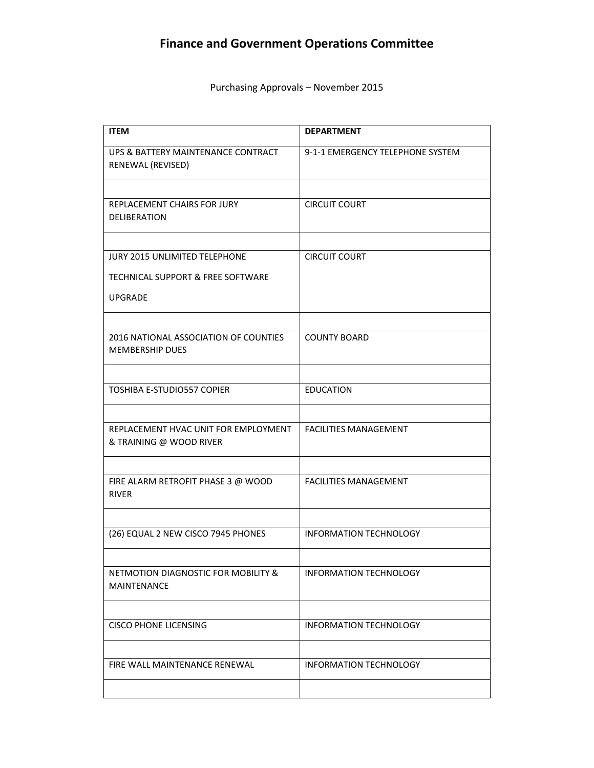## **Finance and Government Operations Committee**

Purchasing Approvals – November 2015

| <b>ITEM</b>                                                     | <b>DEPARTMENT</b>                |
|-----------------------------------------------------------------|----------------------------------|
| UPS & BATTERY MAINTENANCE CONTRACT<br>RENEWAL (REVISED)         | 9-1-1 EMERGENCY TELEPHONE SYSTEM |
|                                                                 |                                  |
| REPLACEMENT CHAIRS FOR JURY<br><b>DELIBERATION</b>              | <b>CIRCUIT COURT</b>             |
|                                                                 |                                  |
| <b>JURY 2015 UNLIMITED TELEPHONE</b>                            | <b>CIRCUIT COURT</b>             |
| TECHNICAL SUPPORT & FREE SOFTWARE                               |                                  |
| <b>UPGRADE</b>                                                  |                                  |
|                                                                 |                                  |
| 2016 NATIONAL ASSOCIATION OF COUNTIES<br><b>MEMBERSHIP DUES</b> | <b>COUNTY BOARD</b>              |
|                                                                 |                                  |
| <b>TOSHIBA E-STUDIO557 COPIER</b>                               | <b>EDUCATION</b>                 |
|                                                                 |                                  |
| REPLACEMENT HVAC UNIT FOR EMPLOYMENT<br>& TRAINING @ WOOD RIVER | <b>FACILITIES MANAGEMENT</b>     |
|                                                                 |                                  |
| FIRE ALARM RETROFIT PHASE 3 @ WOOD<br><b>RIVER</b>              | <b>FACILITIES MANAGEMENT</b>     |
|                                                                 |                                  |
| (26) EQUAL 2 NEW CISCO 7945 PHONES                              | <b>INFORMATION TECHNOLOGY</b>    |
|                                                                 |                                  |
| NETMOTION DIAGNOSTIC FOR MOBILITY &<br>MAINTENANCE              | <b>INFORMATION TECHNOLOGY</b>    |
|                                                                 |                                  |
| <b>CISCO PHONE LICENSING</b>                                    | <b>INFORMATION TECHNOLOGY</b>    |
|                                                                 |                                  |
| FIRE WALL MAINTENANCE RENEWAL                                   | <b>INFORMATION TECHNOLOGY</b>    |
|                                                                 |                                  |